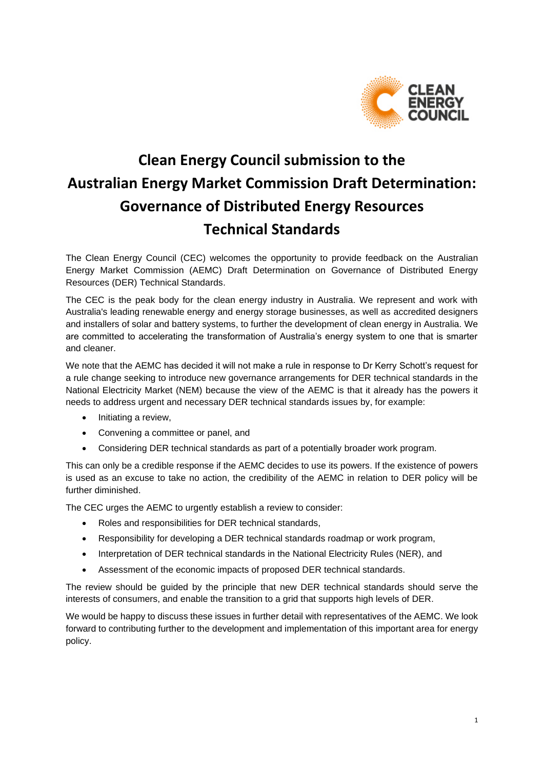

# **Clean Energy Council submission to the Australian Energy Market Commission Draft Determination: Governance of Distributed Energy Resources Technical Standards**

The Clean Energy Council (CEC) welcomes the opportunity to provide feedback on the Australian Energy Market Commission (AEMC) Draft Determination on Governance of Distributed Energy Resources (DER) Technical Standards.

The CEC is the peak body for the clean energy industry in Australia. We represent and work with Australia's leading renewable energy and energy storage businesses, as well as accredited designers and installers of solar and battery systems, to further the development of clean energy in Australia. We are committed to accelerating the transformation of Australia's energy system to one that is smarter and cleaner.

We note that the AEMC has decided it will not make a rule in response to Dr Kerry Schott's request for a rule change seeking to introduce new governance arrangements for DER technical standards in the National Electricity Market (NEM) because the view of the AEMC is that it already has the powers it needs to address urgent and necessary DER technical standards issues by, for example:

- Initiating a review.
- Convening a committee or panel, and
- Considering DER technical standards as part of a potentially broader work program.

This can only be a credible response if the AEMC decides to use its powers. If the existence of powers is used as an excuse to take no action, the credibility of the AEMC in relation to DER policy will be further diminished.

The CEC urges the AEMC to urgently establish a review to consider:

- Roles and responsibilities for DER technical standards,
- Responsibility for developing a DER technical standards roadmap or work program,
- Interpretation of DER technical standards in the National Electricity Rules (NER), and
- Assessment of the economic impacts of proposed DER technical standards.

The review should be guided by the principle that new DER technical standards should serve the interests of consumers, and enable the transition to a grid that supports high levels of DER.

We would be happy to discuss these issues in further detail with representatives of the AEMC. We look forward to contributing further to the development and implementation of this important area for energy policy.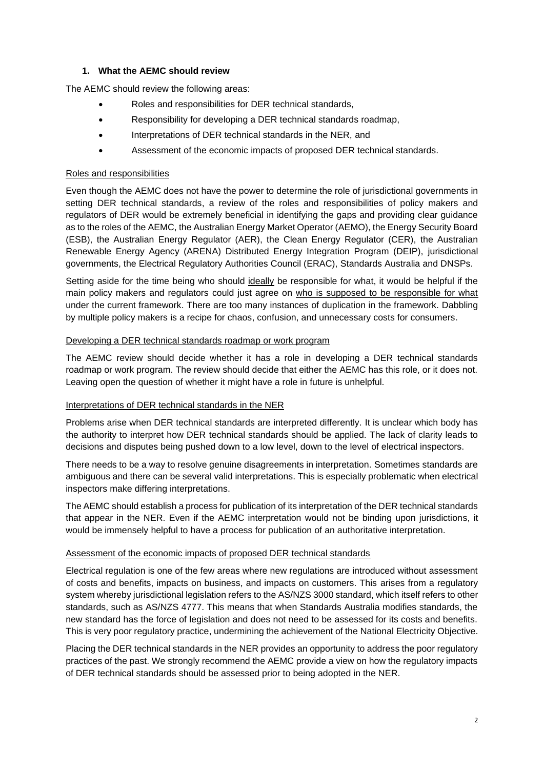## **1. What the AEMC should review**

The AEMC should review the following areas:

- Roles and responsibilities for DER technical standards,
- Responsibility for developing a DER technical standards roadmap,
- Interpretations of DER technical standards in the NER, and
- Assessment of the economic impacts of proposed DER technical standards.

#### Roles and responsibilities

Even though the AEMC does not have the power to determine the role of jurisdictional governments in setting DER technical standards, a review of the roles and responsibilities of policy makers and regulators of DER would be extremely beneficial in identifying the gaps and providing clear guidance as to the roles of the AEMC, the Australian Energy Market Operator (AEMO), the Energy Security Board (ESB), the Australian Energy Regulator (AER), the Clean Energy Regulator (CER), the Australian Renewable Energy Agency (ARENA) Distributed Energy Integration Program (DEIP), jurisdictional governments, the Electrical Regulatory Authorities Council (ERAC), Standards Australia and DNSPs.

Setting aside for the time being who should ideally be responsible for what, it would be helpful if the main policy makers and regulators could just agree on who is supposed to be responsible for what under the current framework. There are too many instances of duplication in the framework. Dabbling by multiple policy makers is a recipe for chaos, confusion, and unnecessary costs for consumers.

#### Developing a DER technical standards roadmap or work program

The AEMC review should decide whether it has a role in developing a DER technical standards roadmap or work program. The review should decide that either the AEMC has this role, or it does not. Leaving open the question of whether it might have a role in future is unhelpful.

### Interpretations of DER technical standards in the NER

Problems arise when DER technical standards are interpreted differently. It is unclear which body has the authority to interpret how DER technical standards should be applied. The lack of clarity leads to decisions and disputes being pushed down to a low level, down to the level of electrical inspectors.

There needs to be a way to resolve genuine disagreements in interpretation. Sometimes standards are ambiguous and there can be several valid interpretations. This is especially problematic when electrical inspectors make differing interpretations.

The AEMC should establish a process for publication of its interpretation of the DER technical standards that appear in the NER. Even if the AEMC interpretation would not be binding upon jurisdictions, it would be immensely helpful to have a process for publication of an authoritative interpretation.

### Assessment of the economic impacts of proposed DER technical standards

Electrical regulation is one of the few areas where new regulations are introduced without assessment of costs and benefits, impacts on business, and impacts on customers. This arises from a regulatory system whereby jurisdictional legislation refers to the AS/NZS 3000 standard, which itself refers to other standards, such as AS/NZS 4777. This means that when Standards Australia modifies standards, the new standard has the force of legislation and does not need to be assessed for its costs and benefits. This is very poor regulatory practice, undermining the achievement of the National Electricity Objective.

Placing the DER technical standards in the NER provides an opportunity to address the poor regulatory practices of the past. We strongly recommend the AEMC provide a view on how the regulatory impacts of DER technical standards should be assessed prior to being adopted in the NER.